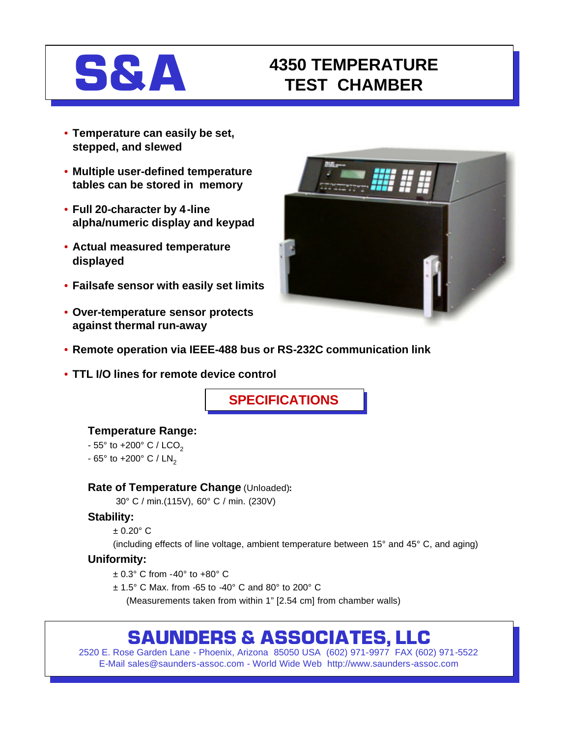

## **S&A 4350 TEMPERATURE TEST CHAMBER**

- **Temperature can easily be set, stepped, and slewed**
- **Multiple user-defined temperature tables can be stored in memory**
- **Full 20-character by 4-line alpha/numeric display and keypad**
- **Actual measured temperature displayed**
- **Failsafe sensor with easily set limits**
- **Over-temperature sensor protects against thermal run-away**



- **Remote operation via IEEE-488 bus or RS-232C communication link**
- **TTL I/O lines for remote device control**

**SPECIFICATIONS**

#### **Temperature Range:**

- $-55^{\circ}$  to  $+200^{\circ}$  C / LCO<sub>2</sub>
- $-65^{\circ}$  to  $+200^{\circ}$  C / LN<sub>2</sub>

#### **Rate of Temperature Change** (Unloaded)**:**

30° C / min.(115V), 60° C / min. (230V)

#### **Stability:**

 $± 0.20°$  C

(including effects of line voltage, ambient temperature between 15° and 45° C, and aging)

#### **Uniformity:**

- ± 0.3° C from -40° to +80° C
- ± 1.5° C Max. from -65 to -40° C and 80° to 200° C

(Measurements taken from within 1" [2.54 cm] from chamber walls)

# **SAUNDERS & ASSOCIATES, LLC**

2520 E. Rose Garden Lane - Phoenix, Arizona 85050 USA (602) 971-9977 FAX (602) 971-5522 E-Mail sales@saunders-assoc.com - World Wide Web http://www.saunders-assoc.com